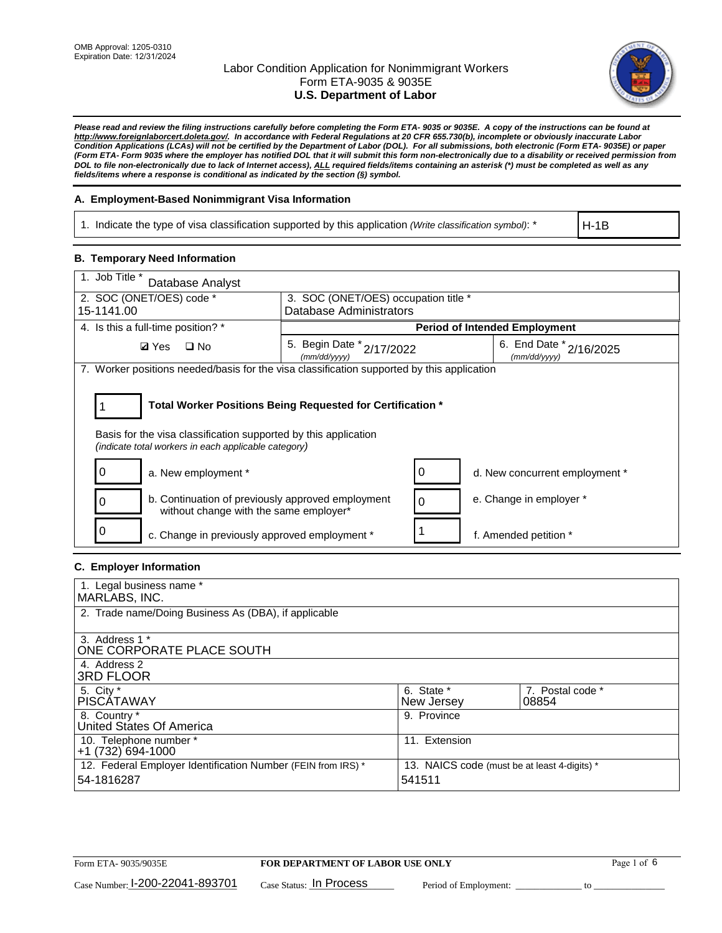

*Please read and review the filing instructions carefully before completing the Form ETA- 9035 or 9035E. A copy of the instructions can be found at http://www.foreignlaborcert.doleta.gov/. In accordance with Federal Regulations at 20 CFR 655.730(b), incomplete or obviously inaccurate Labor Condition Applications (LCAs) will not be certified by the Department of Labor (DOL). For all submissions, both electronic (Form ETA- 9035E) or paper (Form ETA- Form 9035 where the employer has notified DOL that it will submit this form non-electronically due to a disability or received permission from DOL to file non-electronically due to lack of Internet access), ALL required fields/items containing an asterisk (\*) must be completed as well as any fields/items where a response is conditional as indicated by the section (§) symbol.* 

### **A. Employment-Based Nonimmigrant Visa Information**

1. Indicate the type of visa classification supported by this application *(Write classification symbol)*: \*

H-1B

### **B. Temporary Need Information**

| 1. Job Title *<br>Database Analyst                                                                                      |                                                                 |   |                                             |  |  |
|-------------------------------------------------------------------------------------------------------------------------|-----------------------------------------------------------------|---|---------------------------------------------|--|--|
| 2. SOC (ONET/OES) code *<br>15-1141.00                                                                                  | 3. SOC (ONET/OES) occupation title *<br>Database Administrators |   |                                             |  |  |
|                                                                                                                         |                                                                 |   |                                             |  |  |
| 4. Is this a full-time position? *                                                                                      |                                                                 |   | <b>Period of Intended Employment</b>        |  |  |
| $\square$ No<br><b>Ø</b> Yes                                                                                            | 5. Begin Date *<br>2/17/2022<br>(mm/dd/yyyy)                    |   | 6. End Date $*_{2/16/2025}$<br>(mm/dd/yyyy) |  |  |
| 7. Worker positions needed/basis for the visa classification supported by this application                              |                                                                 |   |                                             |  |  |
|                                                                                                                         |                                                                 |   |                                             |  |  |
| Total Worker Positions Being Requested for Certification *                                                              |                                                                 |   |                                             |  |  |
| Basis for the visa classification supported by this application<br>(indicate total workers in each applicable category) |                                                                 |   |                                             |  |  |
| a. New employment *                                                                                                     |                                                                 | 0 | d. New concurrent employment *              |  |  |
| b. Continuation of previously approved employment<br>without change with the same employer*                             |                                                                 | 0 | e. Change in employer *                     |  |  |
| c. Change in previously approved employment *                                                                           |                                                                 |   | f. Amended petition *                       |  |  |

### **C. Employer Information**

| 1. Legal business name *                                                                                     |               |                  |  |  |
|--------------------------------------------------------------------------------------------------------------|---------------|------------------|--|--|
| MARLABS, INC.                                                                                                |               |                  |  |  |
| 2. Trade name/Doing Business As (DBA), if applicable                                                         |               |                  |  |  |
|                                                                                                              |               |                  |  |  |
| 3. Address 1 *                                                                                               |               |                  |  |  |
| ONE CORPORATE PLACE SOUTH                                                                                    |               |                  |  |  |
| 4. Address 2                                                                                                 |               |                  |  |  |
| <b>3RD FLOOR</b>                                                                                             |               |                  |  |  |
| 5. City *                                                                                                    | 6. State *    | 7. Postal code * |  |  |
| PISCÁTAWAY                                                                                                   | New Jersey    | 08854            |  |  |
| 8. Country *                                                                                                 | 9. Province   |                  |  |  |
| United States Of America                                                                                     |               |                  |  |  |
| 10. Telephone number *                                                                                       | 11. Extension |                  |  |  |
| $+1(732)694-1000$                                                                                            |               |                  |  |  |
| 12. Federal Employer Identification Number (FEIN from IRS) *<br>13. NAICS code (must be at least 4-digits) * |               |                  |  |  |
| 54-1816287                                                                                                   | 541511        |                  |  |  |
|                                                                                                              |               |                  |  |  |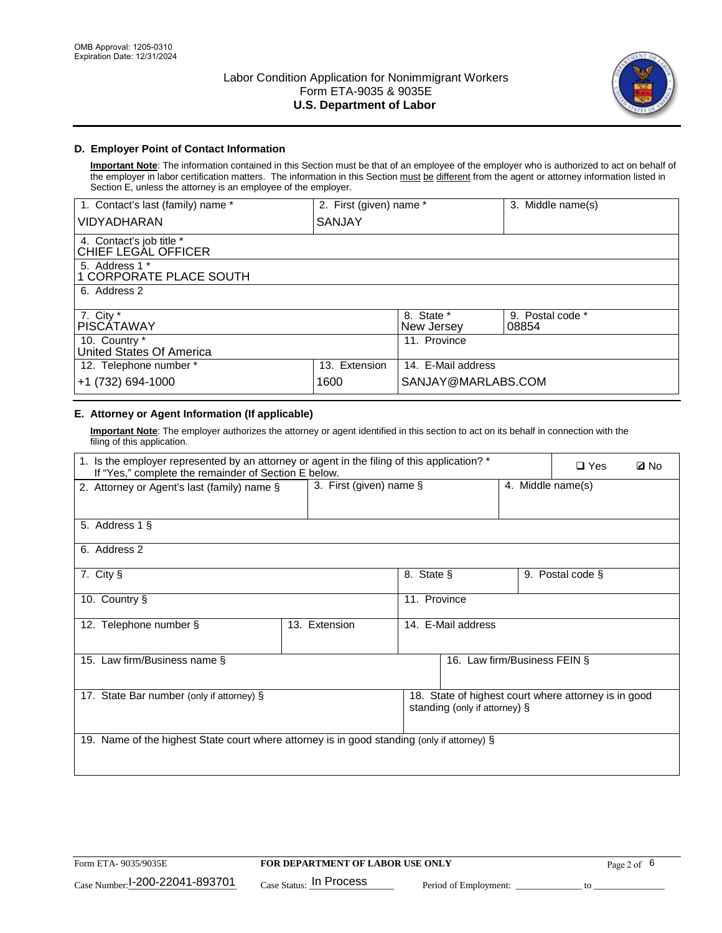

# **D. Employer Point of Contact Information**

**Important Note**: The information contained in this Section must be that of an employee of the employer who is authorized to act on behalf of the employer in labor certification matters. The information in this Section must be different from the agent or attorney information listed in Section E, unless the attorney is an employee of the employer.

| 1. Contact's last (family) name *               | 2. First (given) name * |                          | 3. Middle name(s)         |
|-------------------------------------------------|-------------------------|--------------------------|---------------------------|
| <b>VIDYADHARAN</b>                              | <b>SANJAY</b>           |                          |                           |
| 4. Contact's job title *<br>CHIEF LEGAL OFFICER |                         |                          |                           |
| 5. Address 1 *<br>1 CORPORATE PLACE SOUTH       |                         |                          |                           |
| 6. Address 2                                    |                         |                          |                           |
| 7. City $*$<br><b>PISCATAWAY</b>                |                         | 8. State *<br>New Jersey | 9. Postal code *<br>08854 |
| 10. Country *<br>United States Of America       |                         | 11. Province             |                           |
| 12. Telephone number *                          | 13. Extension           | 14. E-Mail address       |                           |
| +1 (732) 694-1000                               | 1600                    | SANJAY@MARLABS.COM       |                           |

# **E. Attorney or Agent Information (If applicable)**

**Important Note**: The employer authorizes the attorney or agent identified in this section to act on its behalf in connection with the filing of this application.

| 1. Is the employer represented by an attorney or agent in the filing of this application? *<br>If "Yes," complete the remainder of Section E below. |                            |              |                               | $\Box$ Yes        | <b>Ø</b> No                                          |  |
|-----------------------------------------------------------------------------------------------------------------------------------------------------|----------------------------|--------------|-------------------------------|-------------------|------------------------------------------------------|--|
| 2. Attorney or Agent's last (family) name §                                                                                                         | 3. First (given) name $\S$ |              |                               | 4. Middle name(s) |                                                      |  |
| 5. Address 1 §                                                                                                                                      |                            |              |                               |                   |                                                      |  |
| 6. Address 2                                                                                                                                        |                            |              |                               |                   |                                                      |  |
| 7. City §                                                                                                                                           |                            | 8. State §   |                               |                   | 9. Postal code §                                     |  |
| 10. Country §                                                                                                                                       |                            | 11. Province |                               |                   |                                                      |  |
| 12. Telephone number §                                                                                                                              | 13. Extension              |              | 14. E-Mail address            |                   |                                                      |  |
| 15. Law firm/Business name §                                                                                                                        |                            |              | 16. Law firm/Business FEIN §  |                   |                                                      |  |
| 17. State Bar number (only if attorney) §                                                                                                           |                            |              | standing (only if attorney) § |                   | 18. State of highest court where attorney is in good |  |
| 19. Name of the highest State court where attorney is in good standing (only if attorney) §                                                         |                            |              |                               |                   |                                                      |  |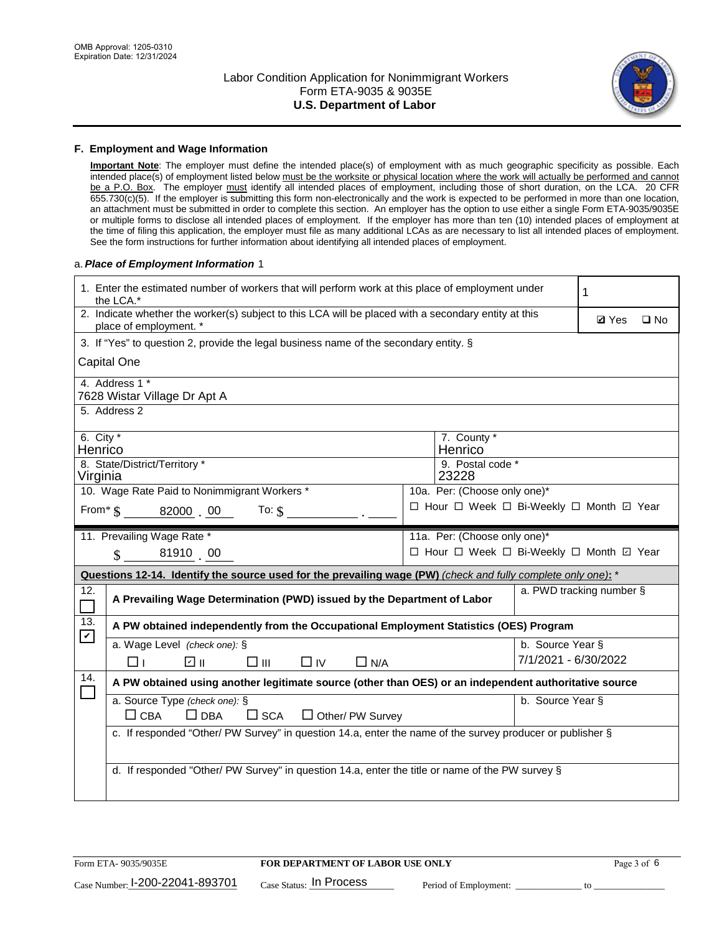

#### **F. Employment and Wage Information**

**Important Note**: The employer must define the intended place(s) of employment with as much geographic specificity as possible. Each intended place(s) of employment listed below must be the worksite or physical location where the work will actually be performed and cannot be a P.O. Box. The employer must identify all intended places of employment, including those of short duration, on the LCA. 20 CFR 655.730(c)(5). If the employer is submitting this form non-electronically and the work is expected to be performed in more than one location, an attachment must be submitted in order to complete this section. An employer has the option to use either a single Form ETA-9035/9035E or multiple forms to disclose all intended places of employment. If the employer has more than ten (10) intended places of employment at the time of filing this application, the employer must file as many additional LCAs as are necessary to list all intended places of employment. See the form instructions for further information about identifying all intended places of employment.

#### a.*Place of Employment Information* 1

| 1. Enter the estimated number of workers that will perform work at this place of employment under<br>the LCA.* |                                                                                                                                |  |                                            |                          |  |  |  |  |
|----------------------------------------------------------------------------------------------------------------|--------------------------------------------------------------------------------------------------------------------------------|--|--------------------------------------------|--------------------------|--|--|--|--|
|                                                                                                                | 2. Indicate whether the worker(s) subject to this LCA will be placed with a secondary entity at this<br>place of employment. * |  |                                            |                          |  |  |  |  |
|                                                                                                                | 3. If "Yes" to question 2, provide the legal business name of the secondary entity. §                                          |  |                                            |                          |  |  |  |  |
|                                                                                                                | Capital One                                                                                                                    |  |                                            |                          |  |  |  |  |
|                                                                                                                | 4. Address 1 *<br>7628 Wistar Village Dr Apt A                                                                                 |  |                                            |                          |  |  |  |  |
|                                                                                                                | 5. Address 2                                                                                                                   |  |                                            |                          |  |  |  |  |
| 6. City $*$<br>Henrico                                                                                         | 8. State/District/Territory *                                                                                                  |  | 7. County *<br>Henrico<br>9. Postal code * |                          |  |  |  |  |
| Virginia                                                                                                       |                                                                                                                                |  | 23228                                      |                          |  |  |  |  |
|                                                                                                                | 10. Wage Rate Paid to Nonimmigrant Workers *                                                                                   |  | 10a. Per: (Choose only one)*               |                          |  |  |  |  |
|                                                                                                                | From * \$ 82000 00<br>To: $$$                                                                                                  |  | □ Hour □ Week □ Bi-Weekly □ Month 回 Year   |                          |  |  |  |  |
|                                                                                                                | 11. Prevailing Wage Rate *                                                                                                     |  | 11a. Per: (Choose only one)*               |                          |  |  |  |  |
|                                                                                                                | 81910 00<br>$\mathbf{\hat{S}}$                                                                                                 |  | □ Hour □ Week □ Bi-Weekly □ Month ☑ Year   |                          |  |  |  |  |
|                                                                                                                | Questions 12-14. Identify the source used for the prevailing wage (PW) (check and fully complete only one): *                  |  |                                            |                          |  |  |  |  |
| 12.<br>$\overline{\phantom{a}}$                                                                                | A Prevailing Wage Determination (PWD) issued by the Department of Labor                                                        |  |                                            | a. PWD tracking number § |  |  |  |  |
| 13.<br>$\mathbf v$                                                                                             | A PW obtained independently from the Occupational Employment Statistics (OES) Program                                          |  |                                            |                          |  |  |  |  |
|                                                                                                                | a. Wage Level (check one): §                                                                                                   |  |                                            | b. Source Year §         |  |  |  |  |
|                                                                                                                | பெ<br>□⊪<br>$\Box$ IV<br>$\Box$ N/A<br>$\Box$ l                                                                                |  |                                            | 7/1/2021 - 6/30/2022     |  |  |  |  |
| 14.                                                                                                            | A PW obtained using another legitimate source (other than OES) or an independent authoritative source                          |  |                                            |                          |  |  |  |  |
|                                                                                                                | a. Source Type (check one): §<br>b. Source Year §<br>$\Box$ CBA<br>$\Box$ DBA<br>$\square$ SCA<br>$\Box$ Other/ PW Survey      |  |                                            |                          |  |  |  |  |
|                                                                                                                | c. If responded "Other/ PW Survey" in question 14.a, enter the name of the survey producer or publisher §                      |  |                                            |                          |  |  |  |  |
|                                                                                                                | d. If responded "Other/ PW Survey" in question 14.a, enter the title or name of the PW survey §                                |  |                                            |                          |  |  |  |  |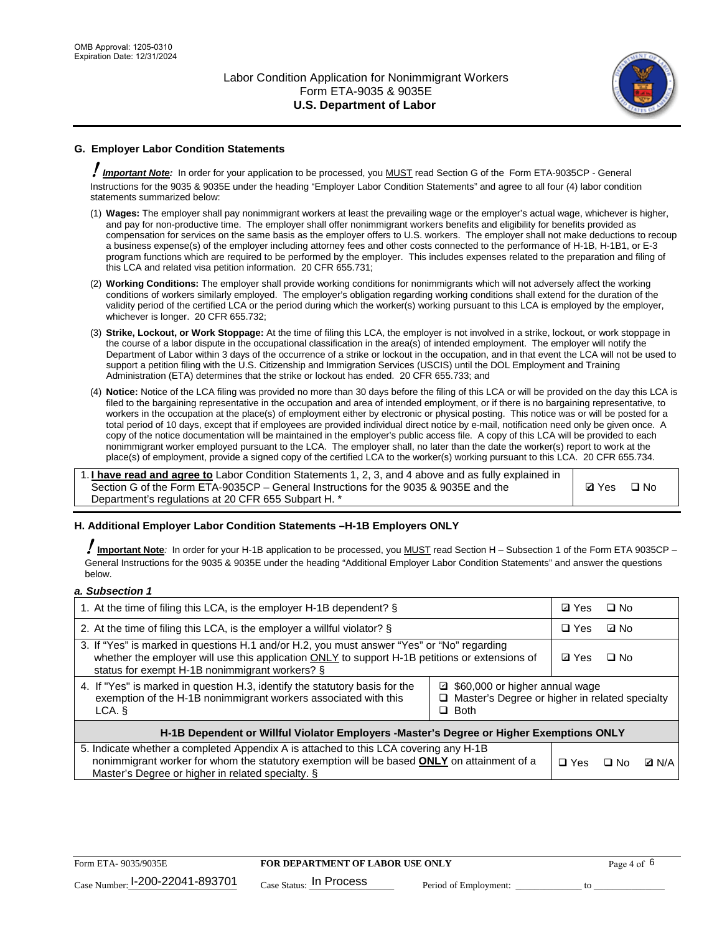

# **G. Employer Labor Condition Statements**

! *Important Note:* In order for your application to be processed, you MUST read Section G of the Form ETA-9035CP - General Instructions for the 9035 & 9035E under the heading "Employer Labor Condition Statements" and agree to all four (4) labor condition statements summarized below:

- (1) **Wages:** The employer shall pay nonimmigrant workers at least the prevailing wage or the employer's actual wage, whichever is higher, and pay for non-productive time. The employer shall offer nonimmigrant workers benefits and eligibility for benefits provided as compensation for services on the same basis as the employer offers to U.S. workers. The employer shall not make deductions to recoup a business expense(s) of the employer including attorney fees and other costs connected to the performance of H-1B, H-1B1, or E-3 program functions which are required to be performed by the employer. This includes expenses related to the preparation and filing of this LCA and related visa petition information. 20 CFR 655.731;
- (2) **Working Conditions:** The employer shall provide working conditions for nonimmigrants which will not adversely affect the working conditions of workers similarly employed. The employer's obligation regarding working conditions shall extend for the duration of the validity period of the certified LCA or the period during which the worker(s) working pursuant to this LCA is employed by the employer, whichever is longer. 20 CFR 655.732;
- (3) **Strike, Lockout, or Work Stoppage:** At the time of filing this LCA, the employer is not involved in a strike, lockout, or work stoppage in the course of a labor dispute in the occupational classification in the area(s) of intended employment. The employer will notify the Department of Labor within 3 days of the occurrence of a strike or lockout in the occupation, and in that event the LCA will not be used to support a petition filing with the U.S. Citizenship and Immigration Services (USCIS) until the DOL Employment and Training Administration (ETA) determines that the strike or lockout has ended. 20 CFR 655.733; and
- (4) **Notice:** Notice of the LCA filing was provided no more than 30 days before the filing of this LCA or will be provided on the day this LCA is filed to the bargaining representative in the occupation and area of intended employment, or if there is no bargaining representative, to workers in the occupation at the place(s) of employment either by electronic or physical posting. This notice was or will be posted for a total period of 10 days, except that if employees are provided individual direct notice by e-mail, notification need only be given once. A copy of the notice documentation will be maintained in the employer's public access file. A copy of this LCA will be provided to each nonimmigrant worker employed pursuant to the LCA. The employer shall, no later than the date the worker(s) report to work at the place(s) of employment, provide a signed copy of the certified LCA to the worker(s) working pursuant to this LCA. 20 CFR 655.734.

1. **I have read and agree to** Labor Condition Statements 1, 2, 3, and 4 above and as fully explained in Section G of the Form ETA-9035CP – General Instructions for the 9035 & 9035E and the Department's regulations at 20 CFR 655 Subpart H. \*

**Ø**Yes ロNo

### **H. Additional Employer Labor Condition Statements –H-1B Employers ONLY**

!**Important Note***:* In order for your H-1B application to be processed, you MUST read Section H – Subsection 1 of the Form ETA 9035CP – General Instructions for the 9035 & 9035E under the heading "Additional Employer Labor Condition Statements" and answer the questions below.

#### *a. Subsection 1*

| 1. At the time of filing this LCA, is the employer H-1B dependent? §                                                                                                                                                                                          |  |  | $\square$ No |              |
|---------------------------------------------------------------------------------------------------------------------------------------------------------------------------------------------------------------------------------------------------------------|--|--|--------------|--------------|
| 2. At the time of filing this LCA, is the employer a willful violator? $\S$                                                                                                                                                                                   |  |  | ⊡ No         |              |
| 3. If "Yes" is marked in questions H.1 and/or H.2, you must answer "Yes" or "No" regarding<br>whether the employer will use this application ONLY to support H-1B petitions or extensions of<br>status for exempt H-1B nonimmigrant workers? §                |  |  | $\Box$ No    |              |
| 4. If "Yes" is marked in question H.3, identify the statutory basis for the<br>■ \$60,000 or higher annual wage<br>exemption of the H-1B nonimmigrant workers associated with this<br>□ Master's Degree or higher in related specialty<br>$\Box$ Both<br>LCA. |  |  |              |              |
| H-1B Dependent or Willful Violator Employers -Master's Degree or Higher Exemptions ONLY                                                                                                                                                                       |  |  |              |              |
| 5. Indicate whether a completed Appendix A is attached to this LCA covering any H-1B<br>nonimmigrant worker for whom the statutory exemption will be based <b>ONLY</b> on attainment of a<br>Master's Degree or higher in related specialty. §                |  |  | ⊡ No         | <b>Q</b> N/A |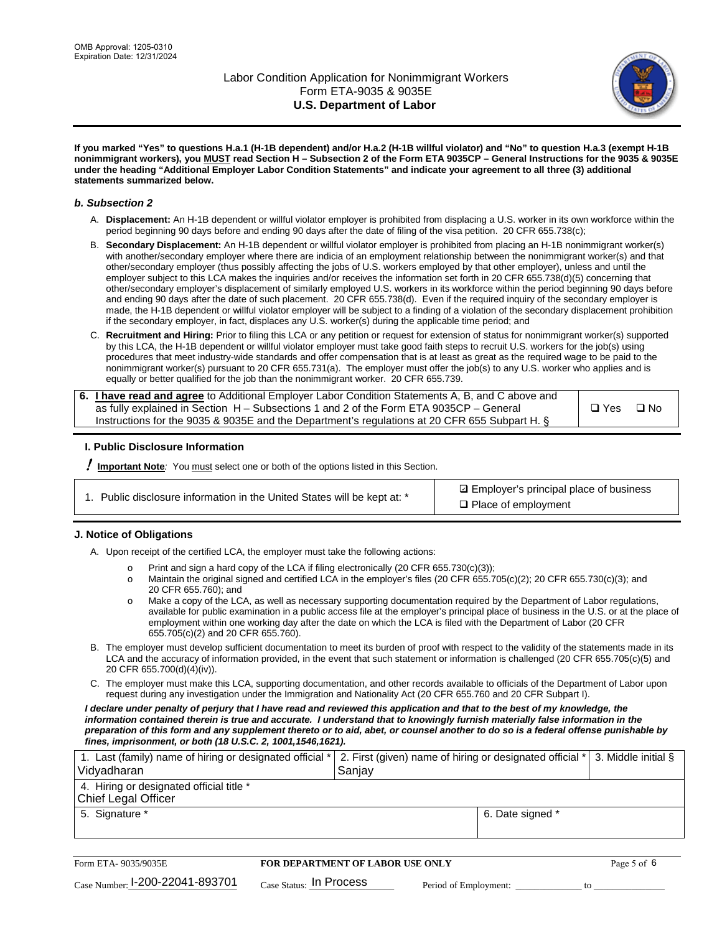

**If you marked "Yes" to questions H.a.1 (H-1B dependent) and/or H.a.2 (H-1B willful violator) and "No" to question H.a.3 (exempt H-1B nonimmigrant workers), you MUST read Section H – Subsection 2 of the Form ETA 9035CP – General Instructions for the 9035 & 9035E under the heading "Additional Employer Labor Condition Statements" and indicate your agreement to all three (3) additional statements summarized below.**

#### *b. Subsection 2*

- A. **Displacement:** An H-1B dependent or willful violator employer is prohibited from displacing a U.S. worker in its own workforce within the period beginning 90 days before and ending 90 days after the date of filing of the visa petition. 20 CFR 655.738(c);
- B. **Secondary Displacement:** An H-1B dependent or willful violator employer is prohibited from placing an H-1B nonimmigrant worker(s) with another/secondary employer where there are indicia of an employment relationship between the nonimmigrant worker(s) and that other/secondary employer (thus possibly affecting the jobs of U.S. workers employed by that other employer), unless and until the employer subject to this LCA makes the inquiries and/or receives the information set forth in 20 CFR 655.738(d)(5) concerning that other/secondary employer's displacement of similarly employed U.S. workers in its workforce within the period beginning 90 days before and ending 90 days after the date of such placement. 20 CFR 655.738(d). Even if the required inquiry of the secondary employer is made, the H-1B dependent or willful violator employer will be subject to a finding of a violation of the secondary displacement prohibition if the secondary employer, in fact, displaces any U.S. worker(s) during the applicable time period; and
- C. **Recruitment and Hiring:** Prior to filing this LCA or any petition or request for extension of status for nonimmigrant worker(s) supported by this LCA, the H-1B dependent or willful violator employer must take good faith steps to recruit U.S. workers for the job(s) using procedures that meet industry-wide standards and offer compensation that is at least as great as the required wage to be paid to the nonimmigrant worker(s) pursuant to 20 CFR 655.731(a). The employer must offer the job(s) to any U.S. worker who applies and is equally or better qualified for the job than the nonimmigrant worker. 20 CFR 655.739.

| 6. I have read and agree to Additional Employer Labor Condition Statements A, B, and C above and |               |           |
|--------------------------------------------------------------------------------------------------|---------------|-----------|
| as fully explained in Section H – Subsections 1 and 2 of the Form ETA 9035CP – General           | $\square$ Yes | $\Box$ No |
| Instructions for the 9035 & 9035 E and the Department's regulations at 20 CFR 655 Subpart H. §   |               |           |

### **I. Public Disclosure Information**

! **Important Note***:* You must select one or both of the options listed in this Section.

**sqrt** Employer's principal place of business □ Place of employment

### **J. Notice of Obligations**

A. Upon receipt of the certified LCA, the employer must take the following actions:

- o Print and sign a hard copy of the LCA if filing electronically (20 CFR 655.730(c)(3));<br>
Maintain the original signed and certified LCA in the employer's files (20 CFR 655.7
- Maintain the original signed and certified LCA in the employer's files (20 CFR 655.705(c)(2); 20 CFR 655.730(c)(3); and 20 CFR 655.760); and
- o Make a copy of the LCA, as well as necessary supporting documentation required by the Department of Labor regulations, available for public examination in a public access file at the employer's principal place of business in the U.S. or at the place of employment within one working day after the date on which the LCA is filed with the Department of Labor (20 CFR 655.705(c)(2) and 20 CFR 655.760).
- B. The employer must develop sufficient documentation to meet its burden of proof with respect to the validity of the statements made in its LCA and the accuracy of information provided, in the event that such statement or information is challenged (20 CFR 655.705(c)(5) and 20 CFR 655.700(d)(4)(iv)).
- C. The employer must make this LCA, supporting documentation, and other records available to officials of the Department of Labor upon request during any investigation under the Immigration and Nationality Act (20 CFR 655.760 and 20 CFR Subpart I).

*I declare under penalty of perjury that I have read and reviewed this application and that to the best of my knowledge, the*  information contained therein is true and accurate. I understand that to knowingly furnish materially false information in the *preparation of this form and any supplement thereto or to aid, abet, or counsel another to do so is a federal offense punishable by fines, imprisonment, or both (18 U.S.C. 2, 1001,1546,1621).*

| 1. Last (family) name of hiring or designated official *   2. First (given) name of hiring or designated official *   3. Middle initial §<br>Vidyadharan | Saniav           |  |
|----------------------------------------------------------------------------------------------------------------------------------------------------------|------------------|--|
| 4. Hiring or designated official title *<br>Chief Legal Officer                                                                                          |                  |  |
| 5. Signature *                                                                                                                                           | 6. Date signed * |  |

| Form ETA-9035/9035E             | FOR DEPARTMENT OF LABOR USE ONLY |                       |  |
|---------------------------------|----------------------------------|-----------------------|--|
| Case Number: 1-200-22041-893701 | $_{Case\; Status:}$ In Process   | Period of Employment: |  |